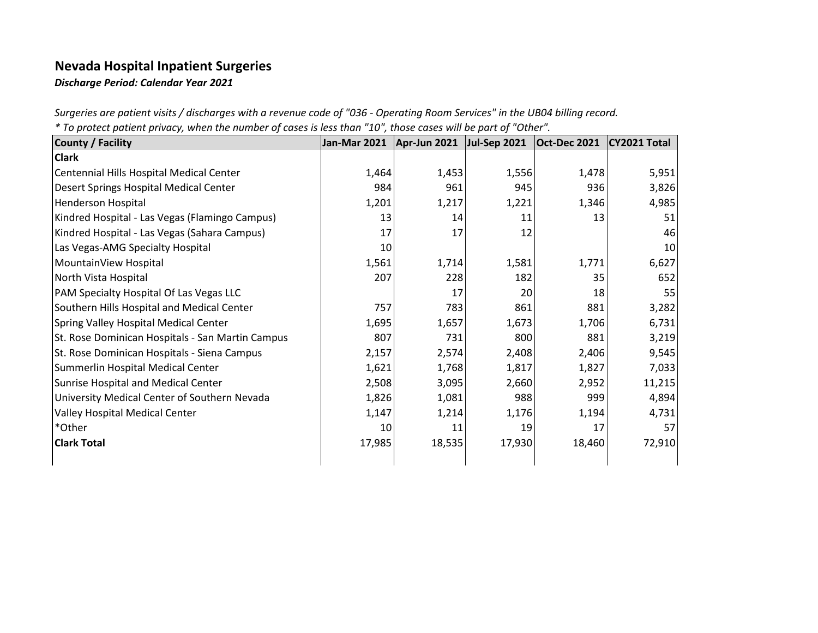## **Nevada Hospital Inpatient Surgeries**

*Discharge Period: Calendar Year 2021*

*Surgeries are patient visits / discharges with a revenue code of "036 - Operating Room Services" in the UB04 billing record.*

|  | * To protect patient privacy, when the number of cases is less than "10", those cases will be part of "Other". |
|--|----------------------------------------------------------------------------------------------------------------|
|  |                                                                                                                |

| <b>County / Facility</b>                         | Jan-Mar 2021 | Apr-Jun 2021 | <b>Jul-Sep 2021</b> | <b>Oct-Dec 2021</b> | CY2021 Total |
|--------------------------------------------------|--------------|--------------|---------------------|---------------------|--------------|
| <b>Clark</b>                                     |              |              |                     |                     |              |
| Centennial Hills Hospital Medical Center         | 1,464        | 1,453        | 1,556               | 1,478               | 5,951        |
| Desert Springs Hospital Medical Center           | 984          | 961          | 945                 | 936                 | 3,826        |
| <b>Henderson Hospital</b>                        | 1,201        | 1,217        | 1,221               | 1,346               | 4,985        |
| Kindred Hospital - Las Vegas (Flamingo Campus)   | 13           | 14           | 11                  | 13                  | 51           |
| Kindred Hospital - Las Vegas (Sahara Campus)     | 17           | 17           | 12                  |                     | 46           |
| Las Vegas-AMG Specialty Hospital                 | 10           |              |                     |                     | 10           |
| MountainView Hospital                            | 1,561        | 1,714        | 1,581               | 1,771               | 6,627        |
| North Vista Hospital                             | 207          | 228          | 182                 | 35                  | 652          |
| PAM Specialty Hospital Of Las Vegas LLC          |              | 17           | 20                  | 18                  | 55           |
| Southern Hills Hospital and Medical Center       | 757          | 783          | 861                 | 881                 | 3,282        |
| Spring Valley Hospital Medical Center            | 1,695        | 1,657        | 1,673               | 1,706               | 6,731        |
| St. Rose Dominican Hospitals - San Martin Campus | 807          | 731          | 800                 | 881                 | 3,219        |
| St. Rose Dominican Hospitals - Siena Campus      | 2,157        | 2,574        | 2,408               | 2,406               | 9,545        |
| Summerlin Hospital Medical Center                | 1,621        | 1,768        | 1,817               | 1,827               | 7,033        |
| Sunrise Hospital and Medical Center              | 2,508        | 3,095        | 2,660               | 2,952               | 11,215       |
| University Medical Center of Southern Nevada     | 1,826        | 1,081        | 988                 | 999                 | 4,894        |
| Valley Hospital Medical Center                   | 1,147        | 1,214        | 1,176               | 1,194               | 4,731        |
| *Other                                           | 10           | 11           | 19                  | 17                  | 57           |
| <b>Clark Total</b>                               | 17,985       | 18,535       | 17,930              | 18,460              | 72,910       |
|                                                  |              |              |                     |                     |              |